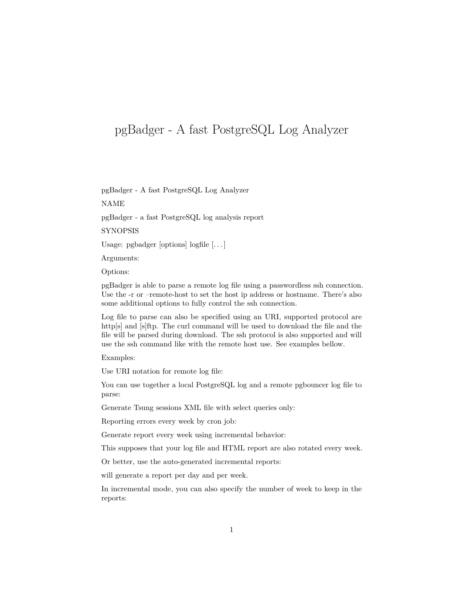# pgBadger - A fast PostgreSQL Log Analyzer

pgBadger - A fast PostgreSQL Log Analyzer

NAME

pgBadger - a fast PostgreSQL log analysis report

**SYNOPSIS** 

Usage: pgbadger [options] logfile [. . . ]

Arguments:

Options:

pgBadger is able to parse a remote log file using a passwordless ssh connection. Use the -r or –remote-host to set the host ip address or hostname. There's also some additional options to fully control the ssh connection.

Log file to parse can also be specified using an URI, supported protocol are http[s] and [s]ftp. The curl command will be used to download the file and the file will be parsed during download. The ssh protocol is also supported and will use the ssh command like with the remote host use. See examples bellow.

Examples:

Use URI notation for remote log file:

You can use together a local PostgreSQL log and a remote pgbouncer log file to parse:

Generate Tsung sessions XML file with select queries only:

Reporting errors every week by cron job:

Generate report every week using incremental behavior:

This supposes that your log file and HTML report are also rotated every week.

Or better, use the auto-generated incremental reports:

will generate a report per day and per week.

In incremental mode, you can also specify the number of week to keep in the reports: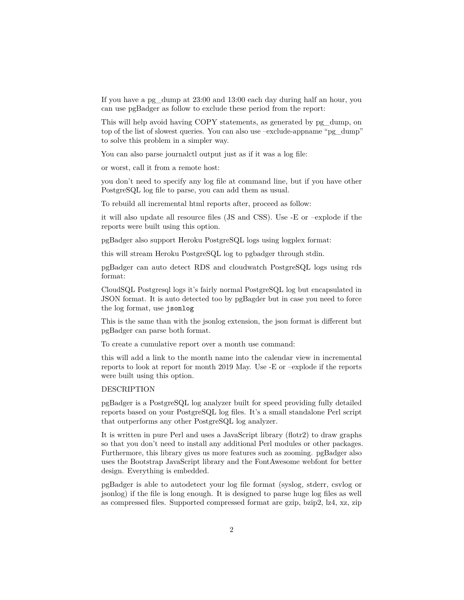If you have a pg\_dump at 23:00 and 13:00 each day during half an hour, you can use pgBadger as follow to exclude these period from the report:

This will help avoid having COPY statements, as generated by pg\_dump, on top of the list of slowest queries. You can also use –exclude-appname "pg\_dump" to solve this problem in a simpler way.

You can also parse journalctl output just as if it was a log file:

or worst, call it from a remote host:

you don't need to specify any log file at command line, but if you have other PostgreSQL log file to parse, you can add them as usual.

To rebuild all incremental html reports after, proceed as follow:

it will also update all resource files (JS and CSS). Use -E or –explode if the reports were built using this option.

pgBadger also support Heroku PostgreSQL logs using logplex format:

this will stream Heroku PostgreSQL log to pgbadger through stdin.

pgBadger can auto detect RDS and cloudwatch PostgreSQL logs using rds format:

CloudSQL Postgresql logs it's fairly normal PostgreSQL log but encapsulated in JSON format. It is auto detected too by pgBagder but in case you need to force the log format, use jsonlog

This is the same than with the jsonlog extension, the json format is different but pgBadger can parse both format.

To create a cumulative report over a month use command:

this will add a link to the month name into the calendar view in incremental reports to look at report for month 2019 May. Use -E or –explode if the reports were built using this option.

## DESCRIPTION

pgBadger is a PostgreSQL log analyzer built for speed providing fully detailed reports based on your PostgreSQL log files. It's a small standalone Perl script that outperforms any other PostgreSQL log analyzer.

It is written in pure Perl and uses a JavaScript library (flotr2) to draw graphs so that you don't need to install any additional Perl modules or other packages. Furthermore, this library gives us more features such as zooming. pgBadger also uses the Bootstrap JavaScript library and the FontAwesome webfont for better design. Everything is embedded.

pgBadger is able to autodetect your log file format (syslog, stderr, csvlog or jsonlog) if the file is long enough. It is designed to parse huge log files as well as compressed files. Supported compressed format are gzip, bzip2, lz4, xz, zip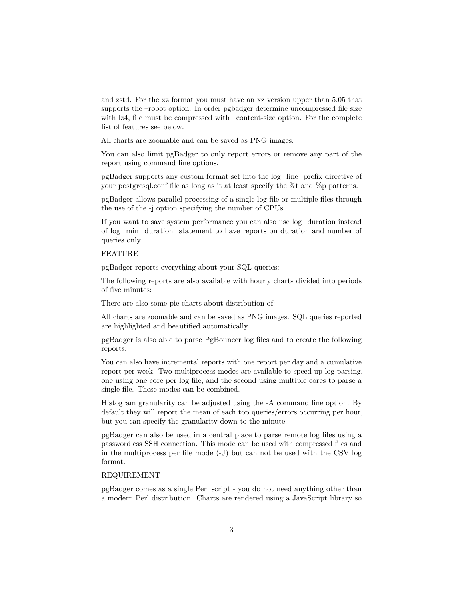and zstd. For the xz format you must have an xz version upper than 5.05 that supports the –robot option. In order pgbadger determine uncompressed file size with lz4, file must be compressed with –content-size option. For the complete list of features see below.

All charts are zoomable and can be saved as PNG images.

You can also limit pgBadger to only report errors or remove any part of the report using command line options.

pgBadger supports any custom format set into the log\_line\_prefix directive of your postgresql.conf file as long as it at least specify the %t and %p patterns.

pgBadger allows parallel processing of a single log file or multiple files through the use of the -j option specifying the number of CPUs.

If you want to save system performance you can also use log\_duration instead of log\_min\_duration\_statement to have reports on duration and number of queries only.

# FEATURE

pgBadger reports everything about your SQL queries:

The following reports are also available with hourly charts divided into periods of five minutes:

There are also some pie charts about distribution of:

All charts are zoomable and can be saved as PNG images. SQL queries reported are highlighted and beautified automatically.

pgBadger is also able to parse PgBouncer log files and to create the following reports:

You can also have incremental reports with one report per day and a cumulative report per week. Two multiprocess modes are available to speed up log parsing, one using one core per log file, and the second using multiple cores to parse a single file. These modes can be combined.

Histogram granularity can be adjusted using the -A command line option. By default they will report the mean of each top queries/errors occurring per hour, but you can specify the granularity down to the minute.

pgBadger can also be used in a central place to parse remote log files using a passwordless SSH connection. This mode can be used with compressed files and in the multiprocess per file mode (-J) but can not be used with the CSV log format.

# REQUIREMENT

pgBadger comes as a single Perl script - you do not need anything other than a modern Perl distribution. Charts are rendered using a JavaScript library so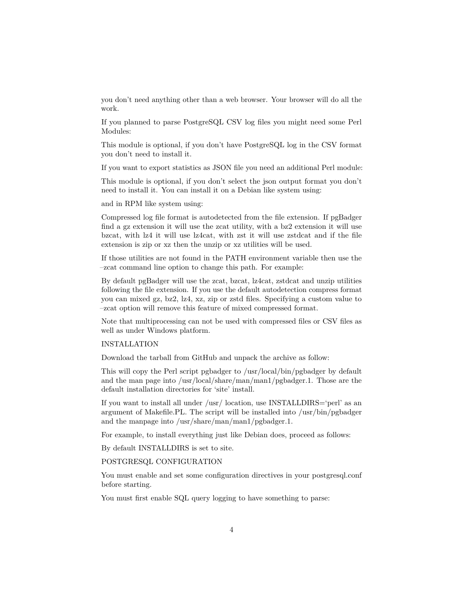you don't need anything other than a web browser. Your browser will do all the work.

If you planned to parse PostgreSQL CSV log files you might need some Perl Modules:

This module is optional, if you don't have PostgreSQL log in the CSV format you don't need to install it.

If you want to export statistics as JSON file you need an additional Perl module:

This module is optional, if you don't select the json output format you don't need to install it. You can install it on a Debian like system using:

and in RPM like system using:

Compressed log file format is autodetected from the file extension. If pgBadger find a gz extension it will use the zcat utility, with a bz2 extension it will use bzcat, with lz4 it will use lz4cat, with zst it will use zstdcat and if the file extension is zip or xz then the unzip or xz utilities will be used.

If those utilities are not found in the PATH environment variable then use the –zcat command line option to change this path. For example:

By default pgBadger will use the zcat, bzcat, lz4cat, zstdcat and unzip utilities following the file extension. If you use the default autodetection compress format you can mixed gz, bz2, lz4, xz, zip or zstd files. Specifying a custom value to –zcat option will remove this feature of mixed compressed format.

Note that multiprocessing can not be used with compressed files or CSV files as well as under Windows platform.

#### INSTALLATION

Download the tarball from GitHub and unpack the archive as follow:

This will copy the Perl script pgbadger to /usr/local/bin/pgbadger by default and the man page into /usr/local/share/man/man1/pgbadger.1. Those are the default installation directories for 'site' install.

If you want to install all under /usr/ location, use INSTALLDIRS='perl' as an argument of Makefile.PL. The script will be installed into /usr/bin/pgbadger and the manpage into /usr/share/man/man1/pgbadger.1.

For example, to install everything just like Debian does, proceed as follows:

By default INSTALLDIRS is set to site.

## POSTGRESQL CONFIGURATION

You must enable and set some configuration directives in your postgresql.conf before starting.

You must first enable SQL query logging to have something to parse: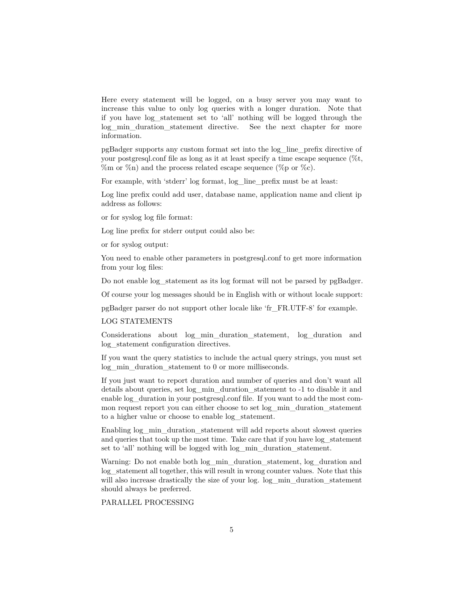Here every statement will be logged, on a busy server you may want to increase this value to only log queries with a longer duration. Note that if you have log\_statement set to 'all' nothing will be logged through the log min duration statement directive. See the next chapter for more information.

pgBadger supports any custom format set into the log\_line\_prefix directive of your postgresql.conf file as long as it at least specify a time escape sequence (%t,  $\%$ m or  $\%$ n) and the process related escape sequence ( $\%$ p or  $\%$ c).

For example, with 'stderr' log format, log line prefix must be at least:

Log line prefix could add user, database name, application name and client ip address as follows:

or for syslog log file format:

Log line prefix for stderr output could also be:

or for syslog output:

You need to enable other parameters in postgresql.conf to get more information from your log files:

Do not enable log statement as its log format will not be parsed by pgBadger.

Of course your log messages should be in English with or without locale support:

pgBadger parser do not support other locale like 'fr\_FR.UTF-8' for example.

#### LOG STATEMENTS

Considerations about log\_min\_duration\_statement, log\_duration and log\_statement configuration directives.

If you want the query statistics to include the actual query strings, you must set log\_min\_duration\_statement to 0 or more milliseconds.

If you just want to report duration and number of queries and don't want all details about queries, set log\_min\_duration\_statement to -1 to disable it and enable log\_duration in your postgresql.conf file. If you want to add the most common request report you can either choose to set log\_min\_duration\_statement to a higher value or choose to enable log\_statement.

Enabling log\_min\_duration\_statement will add reports about slowest queries and queries that took up the most time. Take care that if you have log\_statement set to 'all' nothing will be logged with log min duration statement.

Warning: Do not enable both log min duration statement, log duration and log\_statement all together, this will result in wrong counter values. Note that this will also increase drastically the size of your log. log min duration statement should always be preferred.

# PARALLEL PROCESSING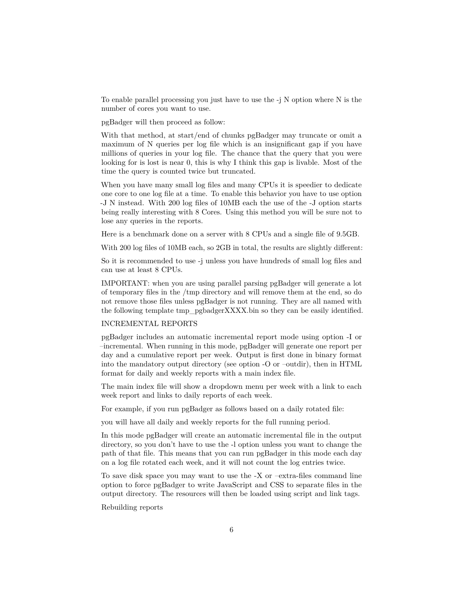To enable parallel processing you just have to use the -j N option where N is the number of cores you want to use.

pgBadger will then proceed as follow:

With that method, at start/end of chunks pgBadger may truncate or omit a maximum of N queries per log file which is an insignificant gap if you have millions of queries in your log file. The chance that the query that you were looking for is lost is near 0, this is why I think this gap is livable. Most of the time the query is counted twice but truncated.

When you have many small log files and many CPUs it is speedier to dedicate one core to one log file at a time. To enable this behavior you have to use option -J N instead. With 200 log files of 10MB each the use of the -J option starts being really interesting with 8 Cores. Using this method you will be sure not to lose any queries in the reports.

Here is a benchmark done on a server with 8 CPUs and a single file of 9.5GB.

With 200 log files of 10MB each, so 2GB in total, the results are slightly different:

So it is recommended to use -j unless you have hundreds of small log files and can use at least 8 CPUs.

IMPORTANT: when you are using parallel parsing pgBadger will generate a lot of temporary files in the /tmp directory and will remove them at the end, so do not remove those files unless pgBadger is not running. They are all named with the following template tmp\_pgbadgerXXXX.bin so they can be easily identified.

#### INCREMENTAL REPORTS

pgBadger includes an automatic incremental report mode using option -I or –incremental. When running in this mode, pgBadger will generate one report per day and a cumulative report per week. Output is first done in binary format into the mandatory output directory (see option -O or –outdir), then in HTML format for daily and weekly reports with a main index file.

The main index file will show a dropdown menu per week with a link to each week report and links to daily reports of each week.

For example, if you run pgBadger as follows based on a daily rotated file:

you will have all daily and weekly reports for the full running period.

In this mode pgBadger will create an automatic incremental file in the output directory, so you don't have to use the -l option unless you want to change the path of that file. This means that you can run pgBadger in this mode each day on a log file rotated each week, and it will not count the log entries twice.

To save disk space you may want to use the -X or –extra-files command line option to force pgBadger to write JavaScript and CSS to separate files in the output directory. The resources will then be loaded using script and link tags.

Rebuilding reports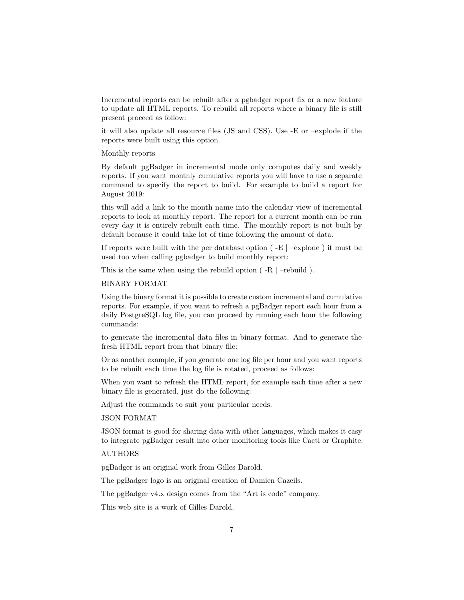Incremental reports can be rebuilt after a pgbadger report fix or a new feature to update all HTML reports. To rebuild all reports where a binary file is still present proceed as follow:

it will also update all resource files (JS and CSS). Use -E or –explode if the reports were built using this option.

Monthly reports

By default pgBadger in incremental mode only computes daily and weekly reports. If you want monthly cumulative reports you will have to use a separate command to specify the report to build. For example to build a report for August 2019:

this will add a link to the month name into the calendar view of incremental reports to look at monthly report. The report for a current month can be run every day it is entirely rebuilt each time. The monthly report is not built by default because it could take lot of time following the amount of data.

If reports were built with the per database option  $(-E \mid -exp$  lode) it must be used too when calling pgbadger to build monthly report:

This is the same when using the rebuild option ( -R | –rebuild ).

## BINARY FORMAT

Using the binary format it is possible to create custom incremental and cumulative reports. For example, if you want to refresh a pgBadger report each hour from a daily PostgreSQL log file, you can proceed by running each hour the following commands:

to generate the incremental data files in binary format. And to generate the fresh HTML report from that binary file:

Or as another example, if you generate one log file per hour and you want reports to be rebuilt each time the log file is rotated, proceed as follows:

When you want to refresh the HTML report, for example each time after a new binary file is generated, just do the following:

Adjust the commands to suit your particular needs.

JSON FORMAT

JSON format is good for sharing data with other languages, which makes it easy to integrate pgBadger result into other monitoring tools like Cacti or Graphite.

# AUTHORS

pgBadger is an original work from Gilles Darold.

The pgBadger logo is an original creation of Damien Cazeils.

The pgBadger v4.x design comes from the "Art is code" company.

This web site is a work of Gilles Darold.